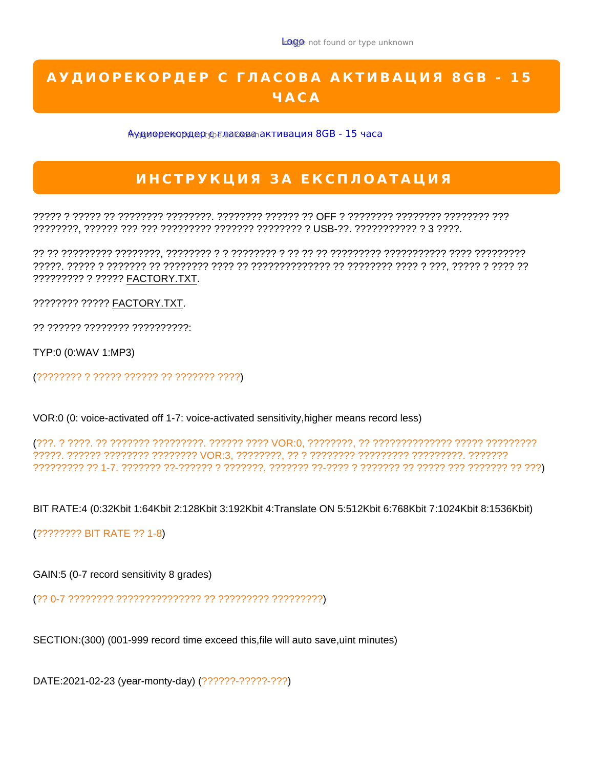

????? ? ????? ?? ???????? ????????. ???????? ?????? ?? OFF ? ???????? ???????? ???????? ??? ????????, ?????? ??? ??? ????????? ??????? ???????? ? USB-??. ??????????? ? 3 ????.

?? ?? ????????? ????????, ???????? ? ? ???????? ? ?? ?? ?? ????????? ??????????? ???? ????????? ?????. ????? ? ??????? ?? ???????? ???? ?? ?????????????? ?? ???????? ???? ? ???, ????? ? ???? ?? ????????? ? ????? FACTORY.TXT.

???????? ????? FACTORY.TXT.

?? ?????? ???????? ??????????:

TYP:0 (0:WAV 1:MP3)

(???????? ? ????? ?????? ?? ??????? ????)

VOR:0 (0: voice-activated off 1-7: voice-activated sensitivity,higher means record less)

(???. ? ????. ?? ??????? ?????????. ?????? ???? VOR:0, ????????, ?? ?????????????? ????? ????????? ?????. ?????? ???????? ???????? VOR:3, ????????, ?? ? ???????? ????????? ?????????. ??????? ????????? ?? 1-7. ??????? ??-?????? ? ???????, ??????? ??-???? ? ??????? ?? ????? ??? ??????? ?? ???)

BIT RATE:4 (0:32Kbit 1:64Kbit 2:128Kbit 3:192Kbit 4:Translate ON 5:512Kbit 6:768Kbit 7:1024Kbit 8:1536Kbit)

(???????? BIT RATE ?? 1-8)

GAIN:5 (0-7 record sensitivity 8 grades)

(?? 0-7 ???????? ??????????????? ?? ????????? ?????????)

SECTION:(300) (001-999 record time exceed this,file will auto save,uint minutes)

DATE:2021-02-23 (year-monty-day) (??????-?????-???)